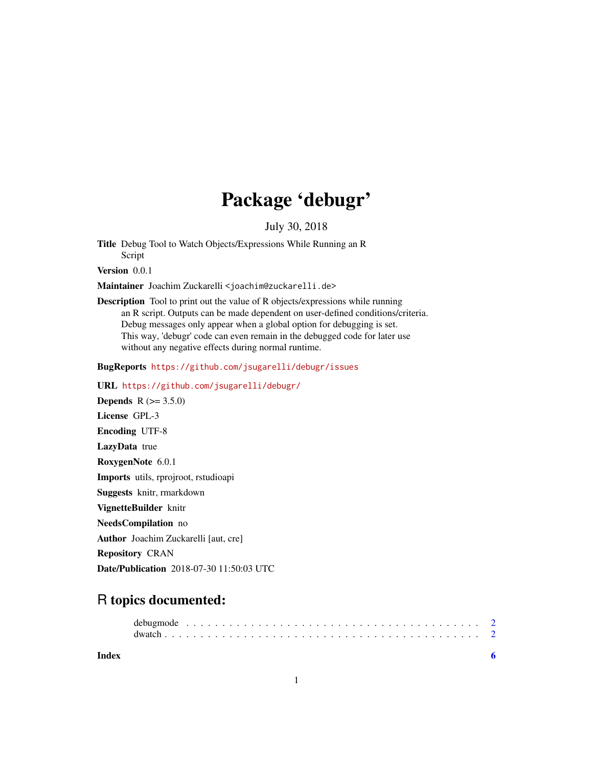# Package 'debugr'

July 30, 2018

Title Debug Tool to Watch Objects/Expressions While Running an R Script

Version 0.0.1

Maintainer Joachim Zuckarelli <joachim@zuckarelli.de>

Description Tool to print out the value of R objects/expressions while running an R script. Outputs can be made dependent on user-defined conditions/criteria. Debug messages only appear when a global option for debugging is set. This way, 'debugr' code can even remain in the debugged code for later use without any negative effects during normal runtime.

BugReports <https://github.com/jsugarelli/debugr/issues>

URL <https://github.com/jsugarelli/debugr/>

**Depends**  $R (= 3.5.0)$ License GPL-3 Encoding UTF-8 LazyData true RoxygenNote 6.0.1 Imports utils, rprojroot, rstudioapi Suggests knitr, rmarkdown VignetteBuilder knitr NeedsCompilation no Author Joachim Zuckarelli [aut, cre] Repository CRAN

Date/Publication 2018-07-30 11:50:03 UTC

## R topics documented:

| Index |  |  |  |  |  |  |  |  |  |  |  |  |  |  |  |  |  |  |  |
|-------|--|--|--|--|--|--|--|--|--|--|--|--|--|--|--|--|--|--|--|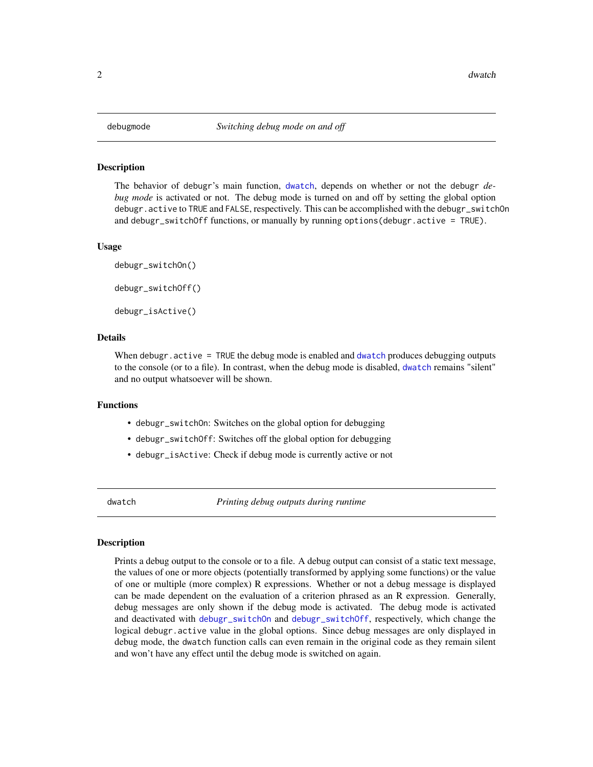#### <span id="page-1-2"></span><span id="page-1-0"></span>Description

The behavior of debugr's main function, [dwatch](#page-1-1), depends on whether or not the debugr *debug mode* is activated or not. The debug mode is turned on and off by setting the global option debugr.active to TRUE and FALSE, respectively. This can be accomplished with the debugr\_switchOn and debugr\_switchOff functions, or manually by running options(debugr.active = TRUE).

#### Usage

debugr\_switchOn() debugr\_switchOff() debugr\_isActive()

#### Details

When debugr.active = TRUE the debug mode is enabled and [dwatch](#page-1-1) produces debugging outputs to the console (or to a file). In contrast, when the debug mode is disabled, [dwatch](#page-1-1) remains "silent" and no output whatsoever will be shown.

#### Functions

- debugr\_switchOn: Switches on the global option for debugging
- debugr\_switchOff: Switches off the global option for debugging
- debugr\_isActive: Check if debug mode is currently active or not

<span id="page-1-1"></span>dwatch *Printing debug outputs during runtime*

#### Description

Prints a debug output to the console or to a file. A debug output can consist of a static text message, the values of one or more objects (potentially transformed by applying some functions) or the value of one or multiple (more complex) R expressions. Whether or not a debug message is displayed can be made dependent on the evaluation of a criterion phrased as an R expression. Generally, debug messages are only shown if the debug mode is activated. The debug mode is activated and deactivated with [debugr\\_switchOn](#page-1-2) and [debugr\\_switchOff](#page-1-2), respectively, which change the logical debugr.active value in the global options. Since debug messages are only displayed in debug mode, the dwatch function calls can even remain in the original code as they remain silent and won't have any effect until the debug mode is switched on again.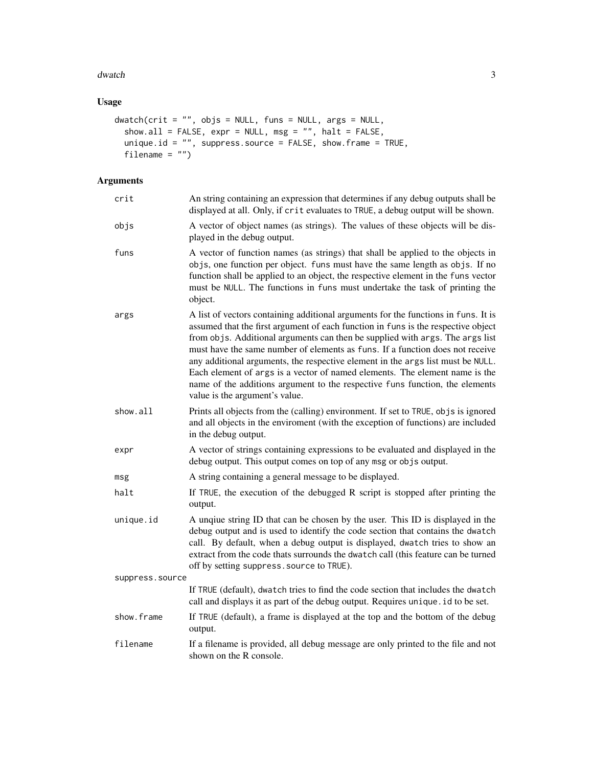#### dwatch 3

#### Usage

```
dwatch(crit = "", objs = NULL, funs = NULL, args = NULL,
  show.all = FALSE, expr = NULL, msg = "", halt = FALSE,
  unique.id = "", suppress.source = FALSE, show.frame = TRUE,
  filename = "")
```
### Arguments

| crit            | An string containing an expression that determines if any debug outputs shall be<br>displayed at all. Only, if crit evaluates to TRUE, a debug output will be shown.                                                                                                                                                                                                                                                                                                                                                                                                                                                          |
|-----------------|-------------------------------------------------------------------------------------------------------------------------------------------------------------------------------------------------------------------------------------------------------------------------------------------------------------------------------------------------------------------------------------------------------------------------------------------------------------------------------------------------------------------------------------------------------------------------------------------------------------------------------|
| objs            | A vector of object names (as strings). The values of these objects will be dis-<br>played in the debug output.                                                                                                                                                                                                                                                                                                                                                                                                                                                                                                                |
| funs            | A vector of function names (as strings) that shall be applied to the objects in<br>objs, one function per object. funs must have the same length as objs. If no<br>function shall be applied to an object, the respective element in the funs vector<br>must be NULL. The functions in funs must undertake the task of printing the<br>object.                                                                                                                                                                                                                                                                                |
| args            | A list of vectors containing additional arguments for the functions in funs. It is<br>assumed that the first argument of each function in funs is the respective object<br>from objs. Additional arguments can then be supplied with args. The args list<br>must have the same number of elements as funs. If a function does not receive<br>any additional arguments, the respective element in the args list must be NULL.<br>Each element of args is a vector of named elements. The element name is the<br>name of the additions argument to the respective funs function, the elements<br>value is the argument's value. |
| show.all        | Prints all objects from the (calling) environment. If set to TRUE, objs is ignored<br>and all objects in the enviroment (with the exception of functions) are included<br>in the debug output.                                                                                                                                                                                                                                                                                                                                                                                                                                |
| expr            | A vector of strings containing expressions to be evaluated and displayed in the<br>debug output. This output comes on top of any msg or objs output.                                                                                                                                                                                                                                                                                                                                                                                                                                                                          |
| msg             | A string containing a general message to be displayed.                                                                                                                                                                                                                                                                                                                                                                                                                                                                                                                                                                        |
| halt            | If TRUE, the execution of the debugged R script is stopped after printing the<br>output.                                                                                                                                                                                                                                                                                                                                                                                                                                                                                                                                      |
| unique.id       | A unqiue string ID that can be chosen by the user. This ID is displayed in the<br>debug output and is used to identify the code section that contains the dwatch<br>call. By default, when a debug output is displayed, dwatch tries to show an<br>extract from the code thats surrounds the dwatch call (this feature can be turned<br>off by setting suppress. source to TRUE).                                                                                                                                                                                                                                             |
| suppress.source |                                                                                                                                                                                                                                                                                                                                                                                                                                                                                                                                                                                                                               |
|                 | If TRUE (default), dwatch tries to find the code section that includes the dwatch<br>call and displays it as part of the debug output. Requires unique . id to be set.                                                                                                                                                                                                                                                                                                                                                                                                                                                        |
| show.frame      | If TRUE (default), a frame is displayed at the top and the bottom of the debug<br>output.                                                                                                                                                                                                                                                                                                                                                                                                                                                                                                                                     |
| filename        | If a filename is provided, all debug message are only printed to the file and not<br>shown on the R console.                                                                                                                                                                                                                                                                                                                                                                                                                                                                                                                  |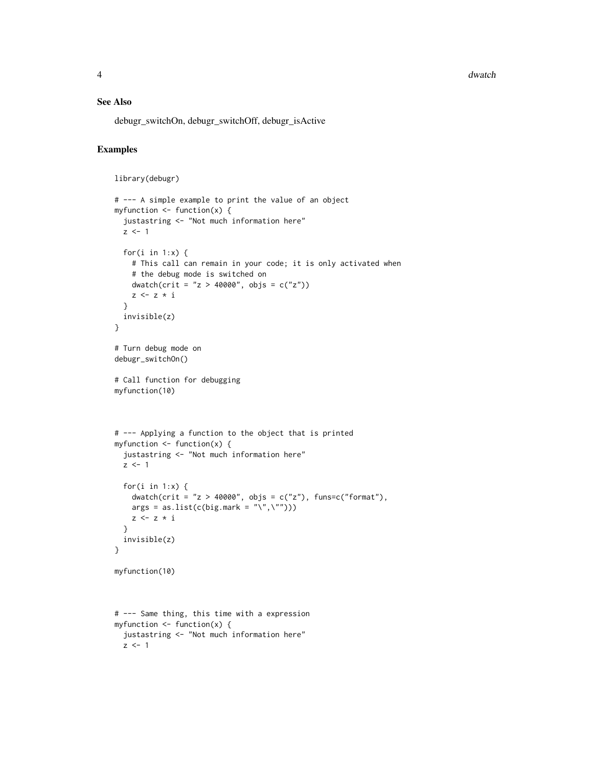4 dwatch and the contract of the contract of the contract of the contract of the contract of the contract of the contract of the contract of the contract of the contract of the contract of the contract of the contract of t

#### See Also

debugr\_switchOn, debugr\_switchOff, debugr\_isActive

#### Examples

```
library(debugr)
```

```
# --- A simple example to print the value of an object
myfunction \leq function(x) {
  justastring <- "Not much information here"
  z \le -1for(i in 1:x) \{# This call can remain in your code; it is only activated when
   # the debug mode is switched on
   dwatch(crit = "z > 40000", objs = c("z"))
   z <- z * i
  }
  invisible(z)
}
# Turn debug mode on
debugr_switchOn()
# Call function for debugging
myfunction(10)
# --- Applying a function to the object that is printed
myfunction \leq function(x) {
  justastring <- "Not much information here"
  z \le -1for(i in 1:x) {
    dwatch(crit = "z > 40000", objs = c("z"), funs=c("format"),
   args = as.list(c(big.maxk = "\\",\\ ""))z \leq z * i}
  invisible(z)
}
myfunction(10)
# --- Same thing, this time with a expression
myfunction \leq function(x) {
  justastring <- "Not much information here"
  z \leq -1
```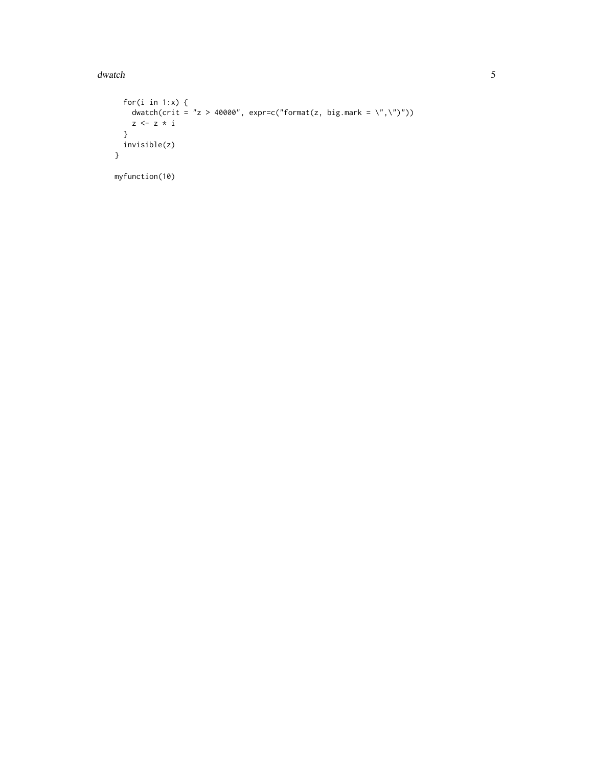### dwatch

```
for(i in 1:x) {
   dwatch(crit = "z > 40000", expr=c("format(z, big.mark = \",\")"))
   z \leq z * i\mathcal{E}invisible(z)
\mathcal{E}myfunction(10)
```